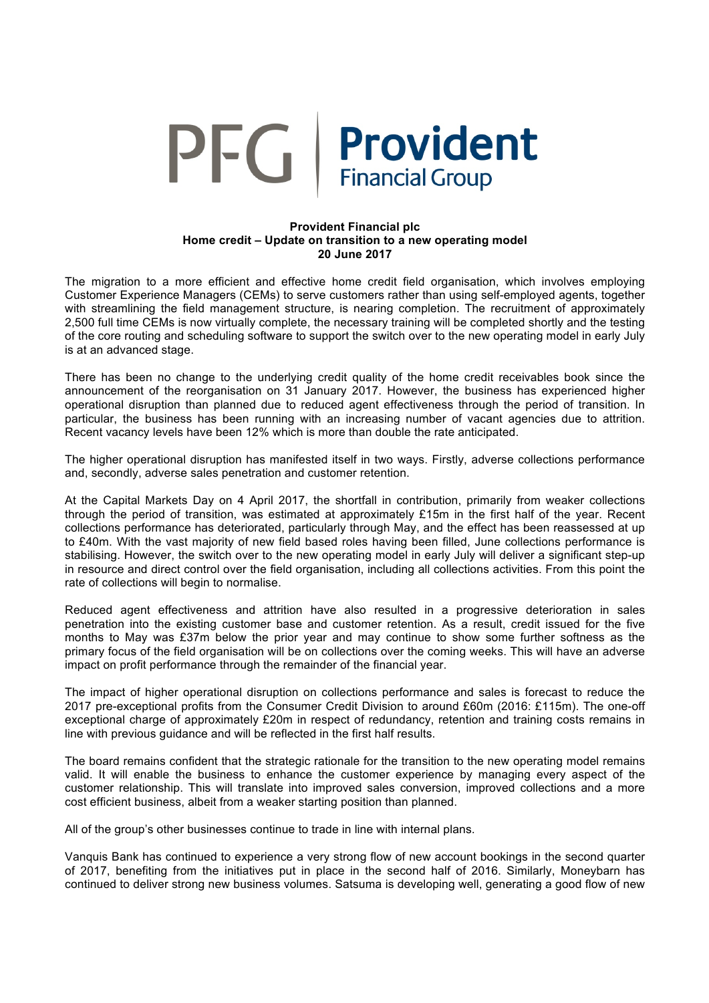

## **Provident Financial plc Home credit – Update on transition to a new operating model 20 June 2017**

The migration to a more efficient and effective home credit field organisation, which involves employing Customer Experience Managers (CEMs) to serve customers rather than using self-employed agents, together with streamlining the field management structure, is nearing completion. The recruitment of approximately 2,500 full time CEMs is now virtually complete, the necessary training will be completed shortly and the testing of the core routing and scheduling software to support the switch over to the new operating model in early July is at an advanced stage.

There has been no change to the underlying credit quality of the home credit receivables book since the announcement of the reorganisation on 31 January 2017. However, the business has experienced higher operational disruption than planned due to reduced agent effectiveness through the period of transition. In particular, the business has been running with an increasing number of vacant agencies due to attrition. Recent vacancy levels have been 12% which is more than double the rate anticipated.

The higher operational disruption has manifested itself in two ways. Firstly, adverse collections performance and, secondly, adverse sales penetration and customer retention.

At the Capital Markets Day on 4 April 2017, the shortfall in contribution, primarily from weaker collections through the period of transition, was estimated at approximately £15m in the first half of the year. Recent collections performance has deteriorated, particularly through May, and the effect has been reassessed at up to £40m. With the vast majority of new field based roles having been filled, June collections performance is stabilising. However, the switch over to the new operating model in early July will deliver a significant step-up in resource and direct control over the field organisation, including all collections activities. From this point the rate of collections will begin to normalise.

Reduced agent effectiveness and attrition have also resulted in a progressive deterioration in sales penetration into the existing customer base and customer retention. As a result, credit issued for the five months to May was £37m below the prior year and may continue to show some further softness as the primary focus of the field organisation will be on collections over the coming weeks. This will have an adverse impact on profit performance through the remainder of the financial year.

The impact of higher operational disruption on collections performance and sales is forecast to reduce the 2017 pre-exceptional profits from the Consumer Credit Division to around £60m (2016: £115m). The one-off exceptional charge of approximately £20m in respect of redundancy, retention and training costs remains in line with previous guidance and will be reflected in the first half results.

The board remains confident that the strategic rationale for the transition to the new operating model remains valid. It will enable the business to enhance the customer experience by managing every aspect of the customer relationship. This will translate into improved sales conversion, improved collections and a more cost efficient business, albeit from a weaker starting position than planned.

All of the group's other businesses continue to trade in line with internal plans.

Vanquis Bank has continued to experience a very strong flow of new account bookings in the second quarter of 2017, benefiting from the initiatives put in place in the second half of 2016. Similarly, Moneybarn has continued to deliver strong new business volumes. Satsuma is developing well, generating a good flow of new